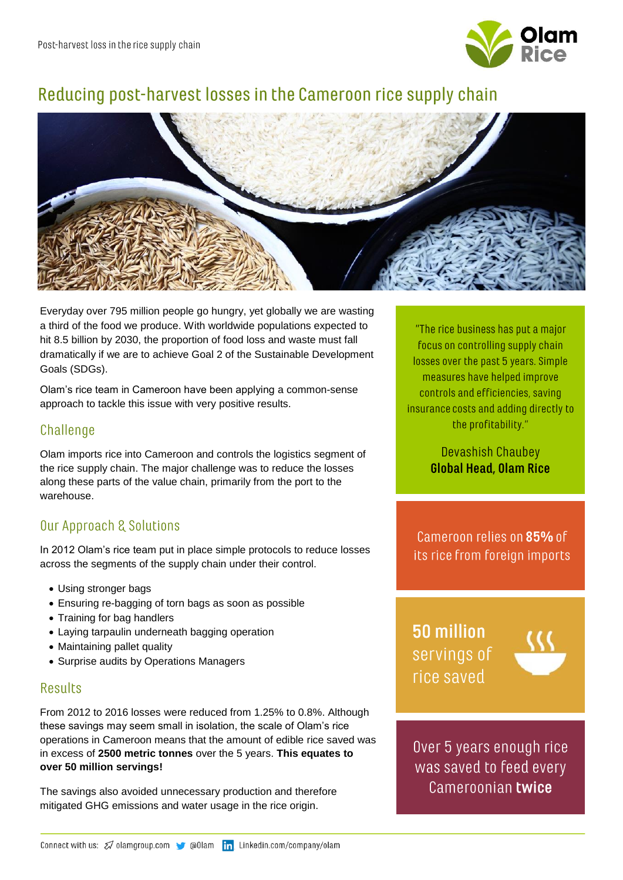

# Reducing post-harvest losses in the Cameroon rice supply chain



Everyday over 795 million people go hungry, yet globally we are wasting a third of the food we produce. With worldwide populations expected to hit 8.5 billion by 2030, the proportion of food loss and waste must fall dramatically if we are to achieve Goal 2 of the Sustainable Development Goals (SDGs).

Olam's rice team in Cameroon have been applying a common-sense approach to tackle this issue with very positive results.

# Challenge

Olam imports rice into Cameroon and controls the logistics segment of the rice supply chain. The major challenge was to reduce the losses along these parts of the value chain, primarily from the port to the warehouse.

# **Our Approach & Solutions**

In 2012 Olam's rice team put in place simple protocols to reduce losses across the segments of the supply chain under their control.

- Using stronger bags
- Ensuring re-bagging of torn bags as soon as possible
- Training for bag handlers
- Laying tarpaulin underneath bagging operation
- Maintaining pallet quality
- Surprise audits by Operations Managers

#### **Results**

From 2012 to 2016 losses were reduced from 1.25% to 0.8%. Although these savings may seem small in isolation, the scale of Olam's rice operations in Cameroon means that the amount of edible rice saved was in excess of **2500 metric tonnes** over the 5 years. **This equates to over 50 million servings!**

The savings also avoided unnecessary production and therefore mitigated GHG emissions and water usage in the rice origin.

"The rice business has put a major focus on controlling supply chain losses over the past 5 years. Simple measures have helped improve controls and efficiencies, saving insurance costs and adding directly to the profitability."

> Devashish Chaubey **Global Head, Olam Rice**

Cameroon relies on 85% of its rice from foreign imports

50 million servings of rice saved



Over 5 years enough rice was saved to feed every Cameroonian twice